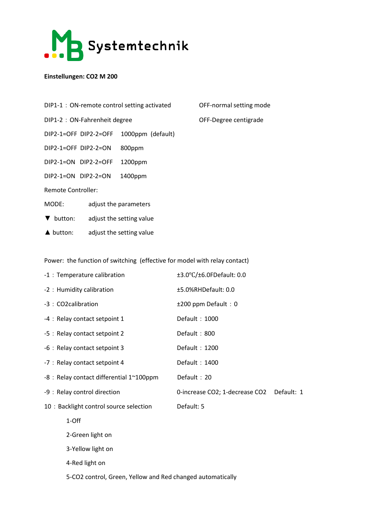

## **Einstellungen: CO2 M 200**

| DIP1-1: ON-remote control setting activated | OFF-normal setting mode |
|---------------------------------------------|-------------------------|
|                                             |                         |

DIP1-2: ON-Fahrenheit degree CENTER OFF-Degree centigrade

DIP2-1=OFF DIP2-2=OFF 1000ppm (default)

DIP2-1=OFF DIP2-2=ON 800ppm

DIP2-1=ON DIP2-2=OFF 1200ppm

DIP2-1=ON DIP2-2=ON 1400ppm

Remote Controller:

MODE: adjust the parameters

- ▼ button: adjust the setting value
- ▲ button: adjust the setting value

Power: the function of switching (effective for model with relay contact)

| -1 : Temperature calibration                               | $\pm 3.0^{\circ}$ C/ $\pm 6.0$ FDefault: 0.0 |            |  |  |  |  |
|------------------------------------------------------------|----------------------------------------------|------------|--|--|--|--|
| -2 : Humidity calibration                                  | ±5.0%RHDefault: 0.0                          |            |  |  |  |  |
| -3 : CO2calibration                                        | ±200 ppm Default: 0                          |            |  |  |  |  |
| -4 : Relay contact setpoint 1                              | Default: 1000                                |            |  |  |  |  |
| -5 : Relay contact setpoint 2                              | Default: 800                                 |            |  |  |  |  |
| -6 : Relay contact setpoint 3                              | Default: 1200                                |            |  |  |  |  |
| -7 : Relay contact setpoint 4                              | Default: 1400                                |            |  |  |  |  |
| -8 : Relay contact differential 1~100ppm                   | Default: 20                                  |            |  |  |  |  |
| -9 : Relay control direction                               | 0-increase CO2; 1-decrease CO2               | Default: 1 |  |  |  |  |
| 10 : Backlight control source selection                    | Default: 5                                   |            |  |  |  |  |
| 1-Off                                                      |                                              |            |  |  |  |  |
| 2-Green light on                                           |                                              |            |  |  |  |  |
| 3-Yellow light on                                          |                                              |            |  |  |  |  |
| 4-Red light on                                             |                                              |            |  |  |  |  |
| 5-CO2 control, Green, Yellow and Red changed automatically |                                              |            |  |  |  |  |